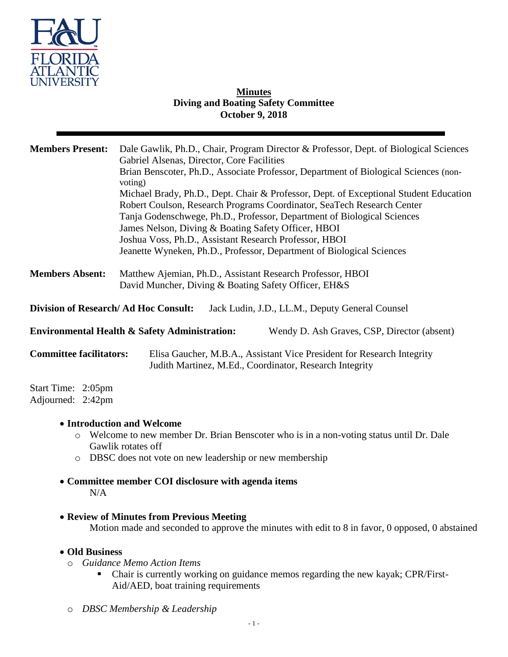

## **Minutes Diving and Boating Safety Committee October 9, 2018**

| <b>Members Present:</b>                                                                                 | Dale Gawlik, Ph.D., Chair, Program Director & Professor, Dept. of Biological Sciences<br>Gabriel Alsenas, Director, Core Facilities<br>Brian Benscoter, Ph.D., Associate Professor, Department of Biological Sciences (non-<br>voting)<br>Michael Brady, Ph.D., Dept. Chair & Professor, Dept. of Exceptional Student Education<br>Robert Coulson, Research Programs Coordinator, SeaTech Research Center<br>Tanja Godenschwege, Ph.D., Professor, Department of Biological Sciences<br>James Nelson, Diving & Boating Safety Officer, HBOI<br>Joshua Voss, Ph.D., Assistant Research Professor, HBOI<br>Jeanette Wyneken, Ph.D., Professor, Department of Biological Sciences |
|---------------------------------------------------------------------------------------------------------|--------------------------------------------------------------------------------------------------------------------------------------------------------------------------------------------------------------------------------------------------------------------------------------------------------------------------------------------------------------------------------------------------------------------------------------------------------------------------------------------------------------------------------------------------------------------------------------------------------------------------------------------------------------------------------|
| <b>Members Absent:</b>                                                                                  | Matthew Ajemian, Ph.D., Assistant Research Professor, HBOI<br>David Muncher, Diving & Boating Safety Officer, EH&S                                                                                                                                                                                                                                                                                                                                                                                                                                                                                                                                                             |
| <b>Division of Research/Ad Hoc Consult:</b><br>Jack Ludin, J.D., LL.M., Deputy General Counsel          |                                                                                                                                                                                                                                                                                                                                                                                                                                                                                                                                                                                                                                                                                |
| <b>Environmental Health &amp; Safety Administration:</b><br>Wendy D. Ash Graves, CSP, Director (absent) |                                                                                                                                                                                                                                                                                                                                                                                                                                                                                                                                                                                                                                                                                |
| <b>Committee facilitators:</b>                                                                          | Elisa Gaucher, M.B.A., Assistant Vice President for Research Integrity<br>Judith Martinez, M.Ed., Coordinator, Research Integrity                                                                                                                                                                                                                                                                                                                                                                                                                                                                                                                                              |
| Start Time: 2:05pm<br>Adjourned: 2:42pm                                                                 |                                                                                                                                                                                                                                                                                                                                                                                                                                                                                                                                                                                                                                                                                |
| $\circ$<br>$\circ$                                                                                      | • Introduction and Welcome<br>Welcome to new member Dr. Brian Benscoter who is in a non-voting status until Dr. Dale<br>Gawlik rotates off<br>DBSC does not vote on new leadership or new membership<br>• Committee member COI disclosure with agenda items                                                                                                                                                                                                                                                                                                                                                                                                                    |
| N/A                                                                                                     |                                                                                                                                                                                                                                                                                                                                                                                                                                                                                                                                                                                                                                                                                |

**Review of Minutes from Previous Meeting**

Motion made and seconded to approve the minutes with edit to 8 in favor, 0 opposed, 0 abstained

- **Old Business**
	- o *Guidance Memo Action Items*
		- Chair is currently working on guidance memos regarding the new kayak; CPR/First-Aid/AED, boat training requirements
	- o *DBSC Membership & Leadership*